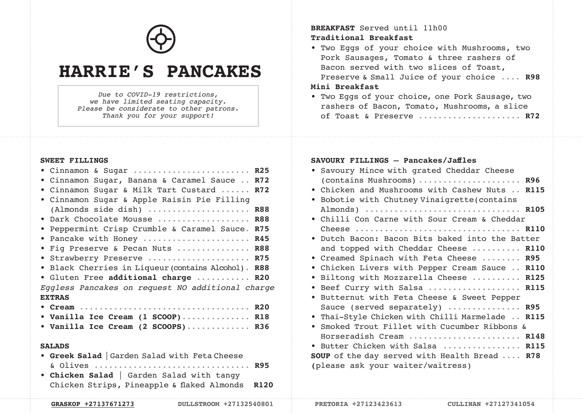

# **HARRIE'S PANCAKES**

*Due to COVID-19 restrictions, we have limited seating capacity. Please be considerate to other patrons. Thank you for your support!*

#### **SWEET FILLINGS**

## **BREAKFAST** Served until 11h00 **Traditional Breakfast**

• Two Eggs of your choice with Mushrooms, two Pork Sausages, Tomato & three rashers of Bacon served with two slices of Toast, Preserve & Small Juice of your choice .... **R98**

## **Mini Breakfast**

• Two Eggs of your choice, one Pork Sausage, two rashers of Bacon, Tomato, Mushrooms, a slice of Toast & Preserve ..................... **R72**

#### **SAVOURY FILLINGS — Pancakes/Jaffles**

| · Savoury Mince with grated Cheddar Cheese                 |
|------------------------------------------------------------|
| (contains Mushrooms)  R96                                  |
| . Chicken and Mushrooms with Cashew Nuts  R115             |
| Bobotie with Chutney Vinaigrette (contains<br>$\bullet$    |
| Almonds)  R105                                             |
| . Chilli Con Carne with Sour Cream & Cheddar               |
|                                                            |
| Dutch Bacon: Bacon Bits baked into the Batter<br>$\bullet$ |
| and topped with Cheddar Cheese  R110                       |
| . Creamed Spinach with Feta Cheese  R95                    |
| Chicken Livers with Pepper Cream Sauce  R110<br>$\bullet$  |
| Biltong with Mozzarella Cheese  R125<br>$\bullet$          |
| Beef Curry with Salsa  R115<br>$\bullet$                   |
| Butternut with Feta Cheese & Sweet Pepper<br>$\bullet$     |
| Sauce (served separately)  R95                             |
| . Thai-Style Chicken with Chilli Marmelade  R115           |
| Smoked Trout Fillet with Cucumber Ribbons &<br>$\bullet$   |
| Horseradish Cream  R148                                    |
| • Butter Chicken with Salsa  R115                          |
| <b>SOUP</b> of the day served with Health Bread  R78       |
| (please ask your waiter/waitress)                          |